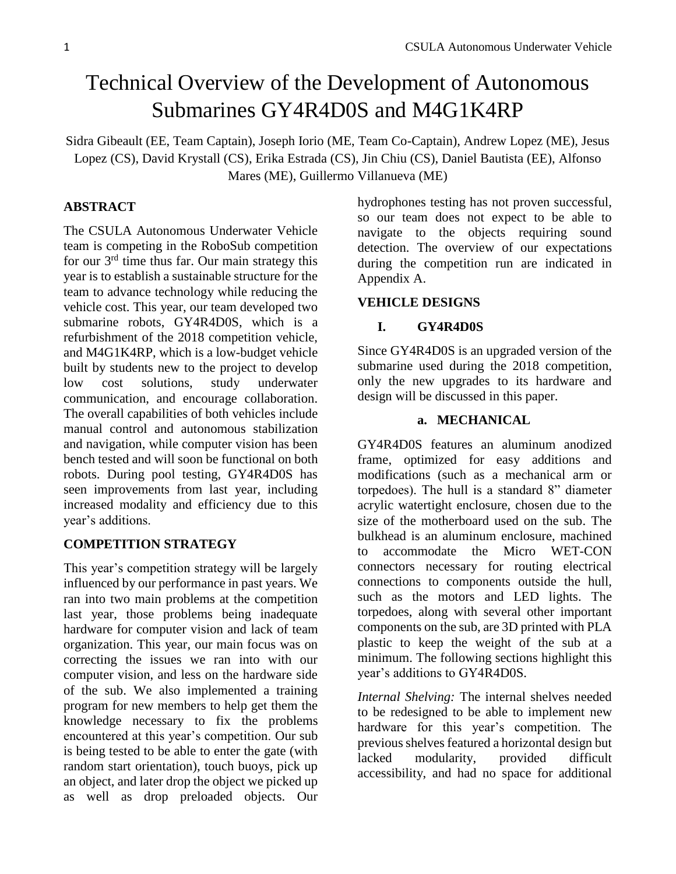# Technical Overview of the Development of Autonomous Submarines GY4R4D0S and M4G1K4RP

Sidra Gibeault (EE, Team Captain), Joseph Iorio (ME, Team Co-Captain), Andrew Lopez (ME), Jesus Lopez (CS), David Krystall (CS), Erika Estrada (CS), Jin Chiu (CS), Daniel Bautista (EE), Alfonso Mares (ME), Guillermo Villanueva (ME)

# **ABSTRACT**

The CSULA Autonomous Underwater Vehicle team is competing in the RoboSub competition for our  $3<sup>rd</sup>$  time thus far. Our main strategy this year is to establish a sustainable structure for the team to advance technology while reducing the vehicle cost. This year, our team developed two submarine robots, GY4R4D0S, which is a refurbishment of the 2018 competition vehicle, and M4G1K4RP, which is a low-budget vehicle built by students new to the project to develop low cost solutions, study underwater communication, and encourage collaboration. The overall capabilities of both vehicles include manual control and autonomous stabilization and navigation, while computer vision has been bench tested and will soon be functional on both robots. During pool testing, GY4R4D0S has seen improvements from last year, including increased modality and efficiency due to this year's additions.

#### **COMPETITION STRATEGY**

This year's competition strategy will be largely influenced by our performance in past years. We ran into two main problems at the competition last year, those problems being inadequate hardware for computer vision and lack of team organization. This year, our main focus was on correcting the issues we ran into with our computer vision, and less on the hardware side of the sub. We also implemented a training program for new members to help get them the knowledge necessary to fix the problems encountered at this year's competition. Our sub is being tested to be able to enter the gate (with random start orientation), touch buoys, pick up an object, and later drop the object we picked up as well as drop preloaded objects. Our

hydrophones testing has not proven successful, so our team does not expect to be able to navigate to the objects requiring sound detection. The overview of our expectations during the competition run are indicated in Appendix A.

#### **VEHICLE DESIGNS**

#### **I. GY4R4D0S**

Since GY4R4D0S is an upgraded version of the submarine used during the 2018 competition, only the new upgrades to its hardware and design will be discussed in this paper.

## **a. MECHANICAL**

GY4R4D0S features an aluminum anodized frame, optimized for easy additions and modifications (such as a mechanical arm or torpedoes). The hull is a standard 8" diameter acrylic watertight enclosure, chosen due to the size of the motherboard used on the sub. The bulkhead is an aluminum enclosure, machined to accommodate the Micro WET-CON connectors necessary for routing electrical connections to components outside the hull, such as the motors and LED lights. The torpedoes, along with several other important components on the sub, are 3D printed with PLA plastic to keep the weight of the sub at a minimum. The following sections highlight this year's additions to GY4R4D0S.

*Internal Shelving:* The internal shelves needed to be redesigned to be able to implement new hardware for this year's competition. The previous shelves featured a horizontal design but lacked modularity, provided difficult accessibility, and had no space for additional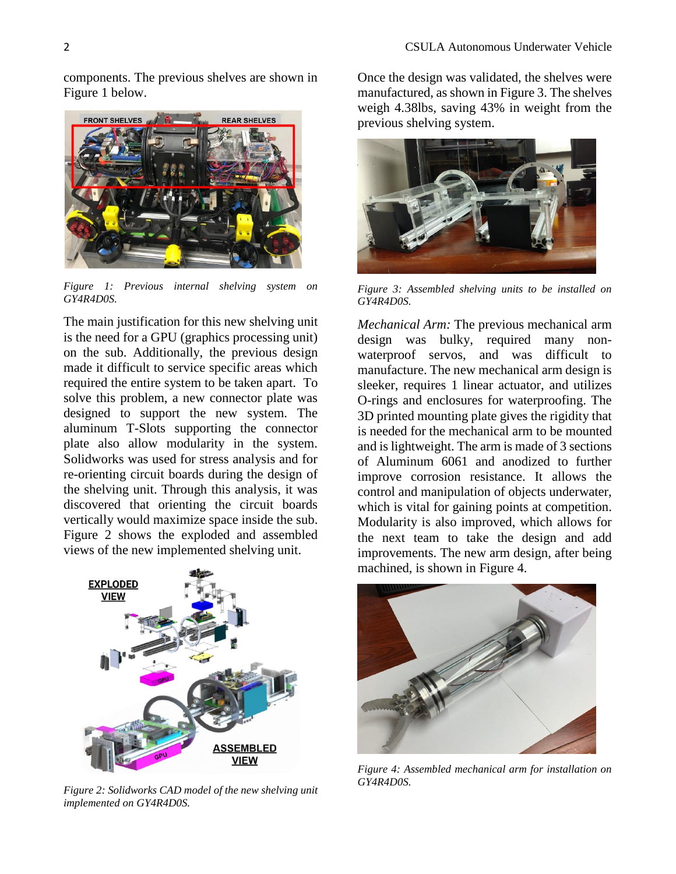components. The previous shelves are shown in Figure 1 below.



*Figure 1: Previous internal shelving system on GY4R4D0S.*

The main justification for this new shelving unit is the need for a GPU (graphics processing unit) on the sub. Additionally, the previous design made it difficult to service specific areas which required the entire system to be taken apart. To solve this problem, a new connector plate was designed to support the new system. The aluminum T-Slots supporting the connector plate also allow modularity in the system. Solidworks was used for stress analysis and for re-orienting circuit boards during the design of the shelving unit. Through this analysis, it was discovered that orienting the circuit boards vertically would maximize space inside the sub. Figure 2 shows the exploded and assembled views of the new implemented shelving unit.



*Figure 2: Solidworks CAD model of the new shelving unit implemented on GY4R4D0S.* 

Once the design was validated, the shelves were manufactured, as shown in Figure 3. The shelves weigh 4.38lbs, saving 43% in weight from the previous shelving system.



*Figure 3: Assembled shelving units to be installed on GY4R4D0S.* 

*Mechanical Arm:* The previous mechanical arm design was bulky, required many nonwaterproof servos, and was difficult to manufacture. The new mechanical arm design is sleeker, requires 1 linear actuator, and utilizes O-rings and enclosures for waterproofing. The 3D printed mounting plate gives the rigidity that is needed for the mechanical arm to be mounted and is lightweight. The arm is made of 3 sections of Aluminum 6061 and anodized to further improve corrosion resistance. It allows the control and manipulation of objects underwater, which is vital for gaining points at competition. Modularity is also improved, which allows for the next team to take the design and add improvements. The new arm design, after being machined, is shown in Figure 4.



*Figure 4: Assembled mechanical arm for installation on GY4R4D0S.*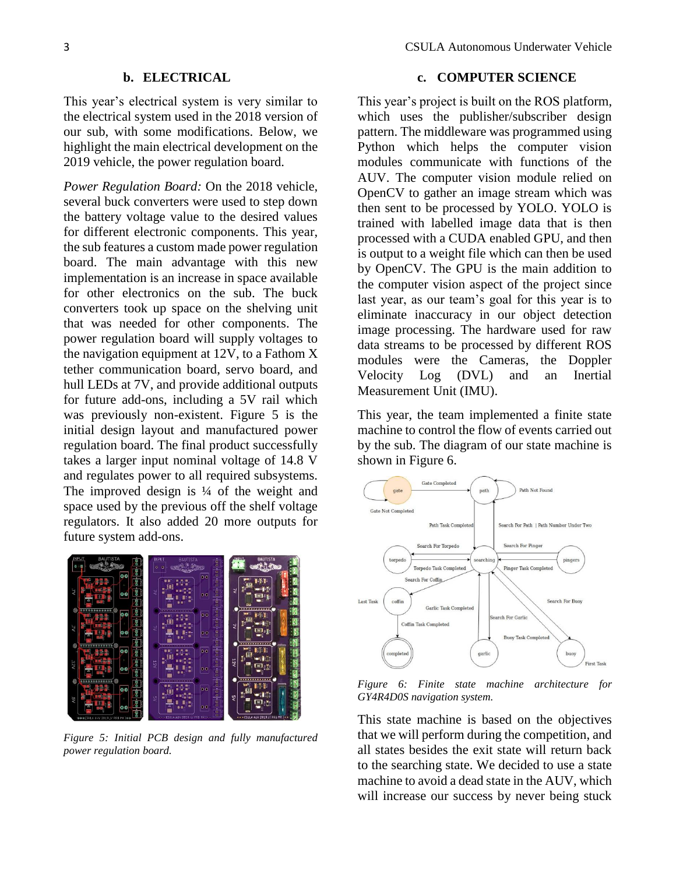## **b. ELECTRICAL**

This year's electrical system is very similar to the electrical system used in the 2018 version of our sub, with some modifications. Below, we highlight the main electrical development on the 2019 vehicle, the power regulation board.

*Power Regulation Board:* On the 2018 vehicle, several buck converters were used to step down the battery voltage value to the desired values for different electronic components. This year, the sub features a custom made power regulation board. The main advantage with this new implementation is an increase in space available for other electronics on the sub. The buck converters took up space on the shelving unit that was needed for other components. The power regulation board will supply voltages to the navigation equipment at 12V, to a Fathom X tether communication board, servo board, and hull LEDs at 7V, and provide additional outputs for future add-ons, including a 5V rail which was previously non-existent. Figure 5 is the initial design layout and manufactured power regulation board. The final product successfully takes a larger input nominal voltage of 14.8 V and regulates power to all required subsystems. The improved design is  $\frac{1}{4}$  of the weight and space used by the previous off the shelf voltage regulators. It also added 20 more outputs for future system add-ons.



*Figure 5: Initial PCB design and fully manufactured power regulation board.* 

#### **c. COMPUTER SCIENCE**

This year's project is built on the ROS platform, which uses the publisher/subscriber design pattern. The middleware was programmed using Python which helps the computer vision modules communicate with functions of the AUV. The computer vision module relied on OpenCV to gather an image stream which was then sent to be processed by YOLO. YOLO is trained with labelled image data that is then processed with a CUDA enabled GPU, and then is output to a weight file which can then be used by OpenCV. The GPU is the main addition to the computer vision aspect of the project since last year, as our team's goal for this year is to eliminate inaccuracy in our object detection image processing. The hardware used for raw data streams to be processed by different ROS modules were the Cameras, the Doppler Velocity Log (DVL) and an Inertial Measurement Unit (IMU).

This year, the team implemented a finite state machine to control the flow of events carried out by the sub. The diagram of our state machine is shown in Figure 6.



*Figure 6: Finite state machine architecture for GY4R4D0S navigation system.* 

This state machine is based on the objectives that we will perform during the competition, and all states besides the exit state will return back to the searching state. We decided to use a state machine to avoid a dead state in the AUV, which will increase our success by never being stuck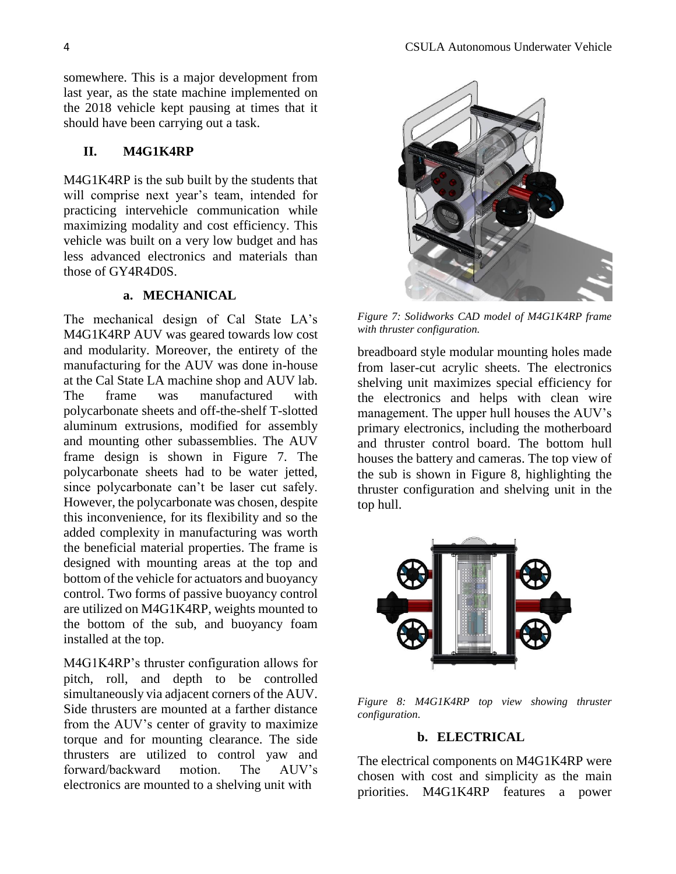somewhere. This is a major development from last year, as the state machine implemented on the 2018 vehicle kept pausing at times that it should have been carrying out a task.

#### **II. M4G1K4RP**

M4G1K4RP is the sub built by the students that will comprise next year's team, intended for practicing intervehicle communication while maximizing modality and cost efficiency. This vehicle was built on a very low budget and has less advanced electronics and materials than those of GY4R4D0S.

#### **a. MECHANICAL**

The mechanical design of Cal State LA's M4G1K4RP AUV was geared towards low cost and modularity. Moreover, the entirety of the manufacturing for the AUV was done in-house at the Cal State LA machine shop and AUV lab. The frame was manufactured with polycarbonate sheets and off-the-shelf T-slotted aluminum extrusions, modified for assembly and mounting other subassemblies. The AUV frame design is shown in Figure 7. The polycarbonate sheets had to be water jetted, since polycarbonate can't be laser cut safely. However, the polycarbonate was chosen, despite this inconvenience, for its flexibility and so the added complexity in manufacturing was worth the beneficial material properties. The frame is designed with mounting areas at the top and bottom of the vehicle for actuators and buoyancy control. Two forms of passive buoyancy control are utilized on M4G1K4RP, weights mounted to the bottom of the sub, and buoyancy foam installed at the top.

M4G1K4RP's thruster configuration allows for pitch, roll, and depth to be controlled simultaneously via adjacent corners of the AUV. Side thrusters are mounted at a farther distance from the AUV's center of gravity to maximize torque and for mounting clearance. The side thrusters are utilized to control yaw and forward/backward motion. The AUV's electronics are mounted to a shelving unit with



*Figure 7: Solidworks CAD model of M4G1K4RP frame with thruster configuration.* 

breadboard style modular mounting holes made from laser-cut acrylic sheets. The electronics shelving unit maximizes special efficiency for the electronics and helps with clean wire management. The upper hull houses the AUV's primary electronics, including the motherboard and thruster control board. The bottom hull houses the battery and cameras. The top view of the sub is shown in Figure 8, highlighting the thruster configuration and shelving unit in the top hull.



*Figure 8: M4G1K4RP top view showing thruster configuration.* 

#### **b. ELECTRICAL**

The electrical components on M4G1K4RP were chosen with cost and simplicity as the main priorities. M4G1K4RP features a power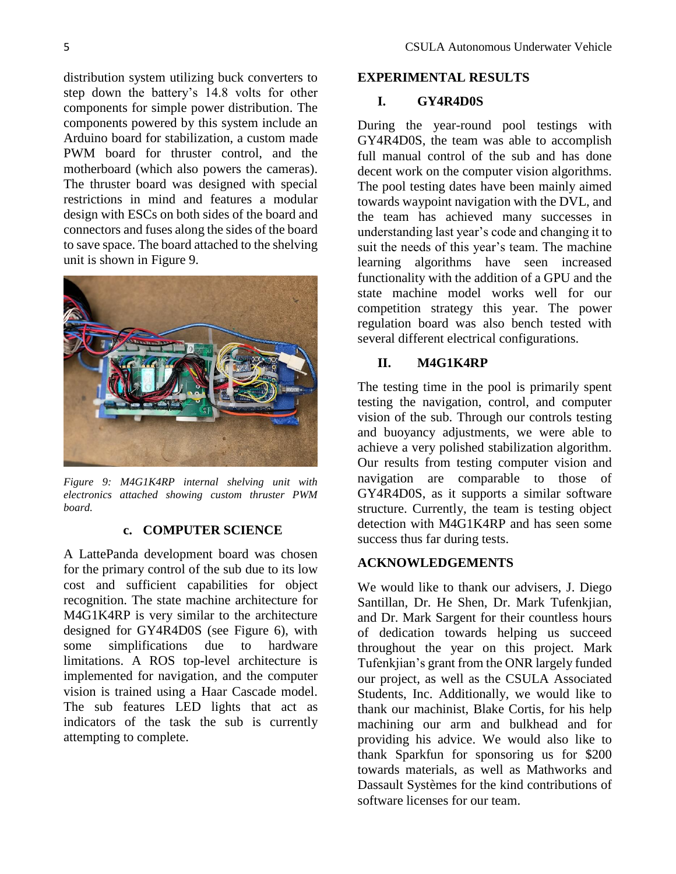distribution system utilizing buck converters to step down the battery's 14.8 volts for other components for simple power distribution. The components powered by this system include an Arduino board for stabilization, a custom made PWM board for thruster control, and the motherboard (which also powers the cameras). The thruster board was designed with special restrictions in mind and features a modular design with ESCs on both sides of the board and connectors and fuses along the sides of the board to save space. The board attached to the shelving unit is shown in Figure 9.



*Figure 9: M4G1K4RP internal shelving unit with electronics attached showing custom thruster PWM board.* 

# **c. COMPUTER SCIENCE**

A LattePanda development board was chosen for the primary control of the sub due to its low cost and sufficient capabilities for object recognition. The state machine architecture for M4G1K4RP is very similar to the architecture designed for GY4R4D0S (see Figure 6), with some simplifications due to hardware limitations. A ROS top-level architecture is implemented for navigation, and the computer vision is trained using a Haar Cascade model. The sub features LED lights that act as indicators of the task the sub is currently attempting to complete.

#### **EXPERIMENTAL RESULTS**

## **I. GY4R4D0S**

During the year-round pool testings with GY4R4D0S, the team was able to accomplish full manual control of the sub and has done decent work on the computer vision algorithms. The pool testing dates have been mainly aimed towards waypoint navigation with the DVL, and the team has achieved many successes in understanding last year's code and changing it to suit the needs of this year's team. The machine learning algorithms have seen increased functionality with the addition of a GPU and the state machine model works well for our competition strategy this year. The power regulation board was also bench tested with several different electrical configurations.

# **II. M4G1K4RP**

The testing time in the pool is primarily spent testing the navigation, control, and computer vision of the sub. Through our controls testing and buoyancy adjustments, we were able to achieve a very polished stabilization algorithm. Our results from testing computer vision and navigation are comparable to those of GY4R4D0S, as it supports a similar software structure. Currently, the team is testing object detection with M4G1K4RP and has seen some success thus far during tests.

# **ACKNOWLEDGEMENTS**

We would like to thank our advisers, J. Diego Santillan, Dr. He Shen, Dr. Mark Tufenkjian, and Dr. Mark Sargent for their countless hours of dedication towards helping us succeed throughout the year on this project. Mark Tufenkjian's grant from the ONR largely funded our project, as well as the CSULA Associated Students, Inc. Additionally, we would like to thank our machinist, Blake Cortis, for his help machining our arm and bulkhead and for providing his advice. We would also like to thank Sparkfun for sponsoring us for \$200 towards materials, as well as Mathworks and Dassault Systèmes for the kind contributions of software licenses for our team.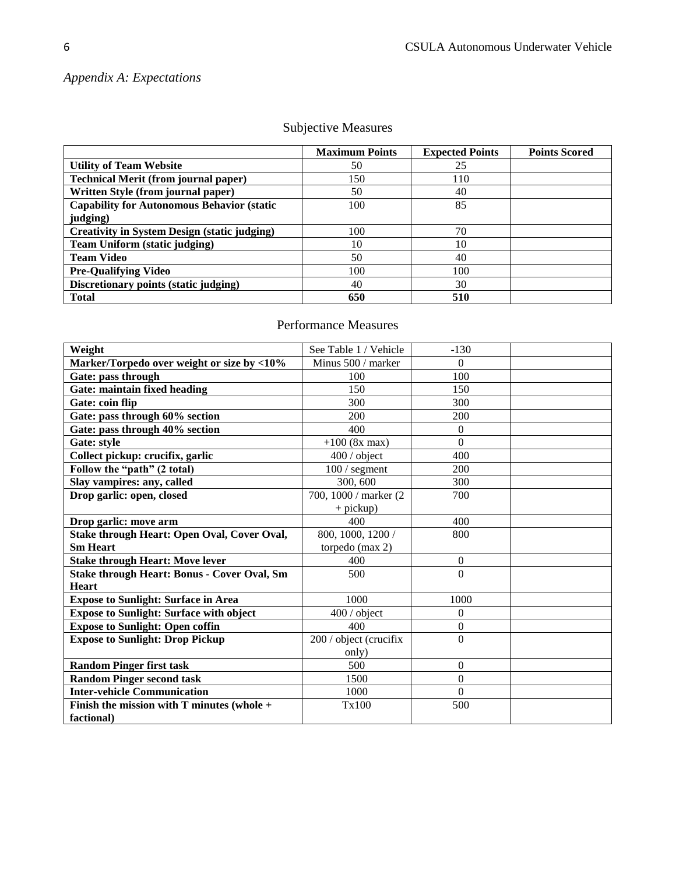# *Appendix A: Expectations*

|                                                     | <b>Maximum Points</b> | <b>Expected Points</b> | <b>Points Scored</b> |
|-----------------------------------------------------|-----------------------|------------------------|----------------------|
| <b>Utility of Team Website</b>                      | 50                    | 25                     |                      |
| <b>Technical Merit (from journal paper)</b>         | 150                   | 110                    |                      |
| Written Style (from journal paper)                  | 50                    | 40                     |                      |
| <b>Capability for Autonomous Behavior (static</b>   | 100                   | 85                     |                      |
| judging)                                            |                       |                        |                      |
| <b>Creativity in System Design (static judging)</b> | 100                   | 70                     |                      |
| <b>Team Uniform (static judging)</b>                | 10                    | 10                     |                      |
| <b>Team Video</b>                                   | 50                    | 40                     |                      |
| <b>Pre-Qualifying Video</b>                         | 100                   | 100                    |                      |
| Discretionary points (static judging)               | 40                    | 30                     |                      |
| <b>Total</b>                                        | 650                   | 510                    |                      |

# Subjective Measures

# Performance Measures

| Weight                                             | See Table 1 / Vehicle  | $-130$           |  |
|----------------------------------------------------|------------------------|------------------|--|
| Marker/Torpedo over weight or size by <10%         | Minus 500 / marker     | $\theta$         |  |
| Gate: pass through                                 | 100                    | 100              |  |
| <b>Gate: maintain fixed heading</b>                | 150                    | 150              |  |
| Gate: coin flip                                    | 300                    | 300              |  |
| Gate: pass through 60% section                     | 200                    | 200              |  |
| Gate: pass through 40% section                     | 400                    | $\theta$         |  |
| Gate: style                                        | $+100$ (8x max)        | $\overline{0}$   |  |
| Collect pickup: crucifix, garlic                   | $400/$ object          | 400              |  |
| Follow the "path" (2 total)                        | $100/$ segment         | 200              |  |
| Slay vampires: any, called                         | 300, 600               | 300              |  |
| Drop garlic: open, closed                          | 700, 1000 / marker (2) | 700              |  |
|                                                    | $+$ pickup)            |                  |  |
| Drop garlic: move arm                              | 400                    | 400              |  |
| Stake through Heart: Open Oval, Cover Oval,        | 800, 1000, 1200 /      | 800              |  |
| <b>Sm Heart</b>                                    | torpedo $(max 2)$      |                  |  |
| <b>Stake through Heart: Move lever</b>             | 400                    | $\boldsymbol{0}$ |  |
| <b>Stake through Heart: Bonus - Cover Oval, Sm</b> | 500                    | $\overline{0}$   |  |
| <b>Heart</b>                                       |                        |                  |  |
| <b>Expose to Sunlight: Surface in Area</b>         | 1000                   | 1000             |  |
| <b>Expose to Sunlight: Surface with object</b>     | $400/$ object          | $\theta$         |  |
| <b>Expose to Sunlight: Open coffin</b>             | 400                    | $\boldsymbol{0}$ |  |
| <b>Expose to Sunlight: Drop Pickup</b>             | 200 / object (crucifix | $\boldsymbol{0}$ |  |
|                                                    | only)                  |                  |  |
| <b>Random Pinger first task</b>                    | 500                    | $\boldsymbol{0}$ |  |
| <b>Random Pinger second task</b>                   | 1500                   | $\boldsymbol{0}$ |  |
| <b>Inter-vehicle Communication</b>                 | 1000                   | $\boldsymbol{0}$ |  |
| Finish the mission with $T$ minutes (whole $+$     | Tx100                  | 500              |  |
| factional)                                         |                        |                  |  |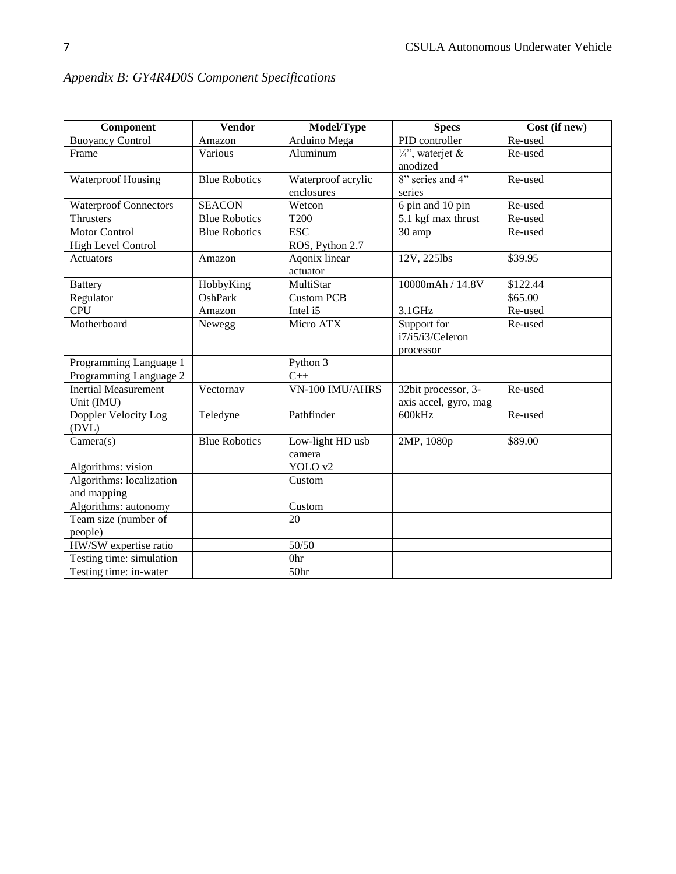| Component                    | <b>Vendor</b>        | Model/Type         | <b>Specs</b>               | Cost (if new) |
|------------------------------|----------------------|--------------------|----------------------------|---------------|
| <b>Buoyancy Control</b>      | Amazon               | Arduino Mega       | PID controller             | Re-used       |
| Frame                        | Various              | Aluminum           | $\frac{1}{4}$ , waterjet & | Re-used       |
|                              |                      |                    | anodized                   |               |
| <b>Waterproof Housing</b>    | <b>Blue Robotics</b> | Waterproof acrylic | $8"$ series and 4"         | Re-used       |
|                              |                      | enclosures         | series                     |               |
| <b>Waterproof Connectors</b> | <b>SEACON</b>        | Wetcon             | 6 pin and 10 pin           | Re-used       |
| <b>Thrusters</b>             | <b>Blue Robotics</b> | T <sub>200</sub>   | 5.1 kgf max thrust         | Re-used       |
| <b>Motor Control</b>         | <b>Blue Robotics</b> | <b>ESC</b>         | 30 amp                     | Re-used       |
| <b>High Level Control</b>    |                      | ROS, Python 2.7    |                            |               |
| <b>Actuators</b>             | Amazon               | Agonix linear      | 12V, 225lbs                | \$39.95       |
|                              |                      | actuator           |                            |               |
| <b>Battery</b>               | HobbyKing            | MultiStar          | 10000mAh / 14.8V           | \$122.44      |
| Regulator                    | OshPark              | <b>Custom PCB</b>  |                            | \$65.00       |
| <b>CPU</b>                   | Amazon               | Intel i5           | $3.1$ GHz                  | Re-used       |
| Motherboard                  | Newegg               | Micro ATX          | Support for                | Re-used       |
|                              |                      |                    | i7/i5/i3/Celeron           |               |
|                              |                      |                    | processor                  |               |
| Programming Language 1       |                      | Python 3           |                            |               |
| Programming Language 2       |                      | $C++$              |                            |               |
| <b>Inertial Measurement</b>  | Vectornav            | VN-100 IMU/AHRS    | 32bit processor, 3-        | Re-used       |
| Unit (IMU)                   |                      |                    | axis accel, gyro, mag      |               |
| Doppler Velocity Log         | Teledyne             | Pathfinder         | 600kHz                     | Re-used       |
| (DVL)                        |                      |                    |                            |               |
| Camera(s)                    | <b>Blue Robotics</b> | Low-light HD usb   | 2MP, 1080p                 | \$89.00       |
|                              |                      | camera             |                            |               |
| Algorithms: vision           |                      | YOLO v2            |                            |               |
| Algorithms: localization     |                      | Custom             |                            |               |
| and mapping                  |                      |                    |                            |               |
| Algorithms: autonomy         |                      | Custom             |                            |               |
| Team size (number of         |                      | 20                 |                            |               |
| people)                      |                      |                    |                            |               |
| HW/SW expertise ratio        |                      | 50/50              |                            |               |
| Testing time: simulation     |                      | 0hr                |                            |               |
| Testing time: in-water       |                      | 50hr               |                            |               |

# *Appendix B: GY4R4D0S Component Specifications*